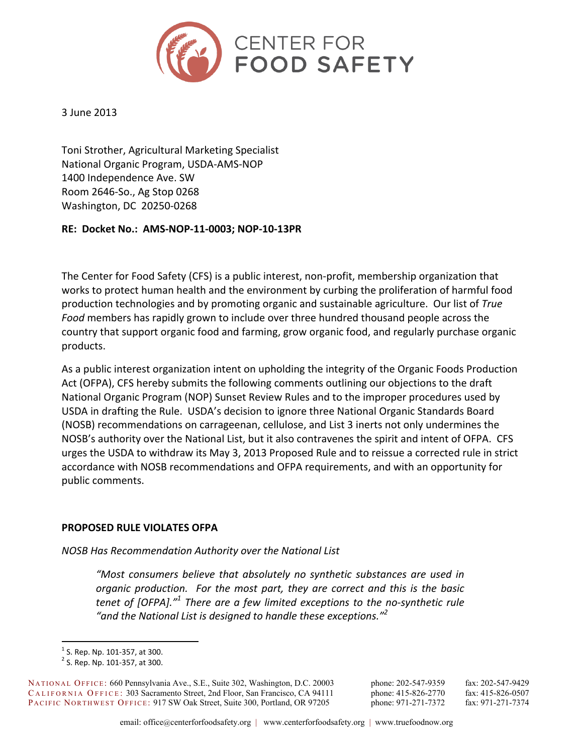

### 3 June 2013

Toni Strother, Agricultural Marketing Specialist National Organic Program, USDA-AMS-NOP 1400 Independence Ave. SW Room 2646-So., Ag Stop 0268 Washington, DC 20250-0268

### RE: Docket No.: AMS-NOP-11-0003; NOP-10-13PR

The Center for Food Safety (CFS) is a public interest, non-profit, membership organization that works to protect human health and the environment by curbing the proliferation of harmful food production technologies and by promoting organic and sustainable agriculture. Our list of True Food members has rapidly grown to include over three hundred thousand people across the country that support organic food and farming, grow organic food, and regularly purchase organic products.

As a public interest organization intent on upholding the integrity of the Organic Foods Production Act (OFPA), CFS hereby submits the following comments outlining our objections to the draft National Organic Program (NOP) Sunset Review Rules and to the improper procedures used by USDA in drafting the Rule. USDA's decision to ignore three National Organic Standards Board (NOSB) recommendations on carrageenan, cellulose, and List 3 inerts not only undermines the NOSB's authority over the National List, but it also contravenes the spirit and intent of OFPA. CFS urges the USDA to withdraw its May 3, 2013 Proposed Rule and to reissue a corrected rule in strict accordance with NOSB recommendations and OFPA requirements, and with an opportunity for public comments.

### PROPOSED RULE VIOLATES OFPA

NOSB Has Recommendation Authority over the National List

"Most consumers believe that absolutely no synthetic substances are used in organic production. For the most part, they are correct and this is the basic tenet of [OFPA]."<sup>1</sup> There are a few limited exceptions to the no-synthetic rule "and the National List is designed to handle these exceptions."<sup>2</sup>

NATIONAL OFFICE: 660 Pennsylvania Ave., S.E., Suite 302, Washington, D.C. 20003 CALIFORNIA OFFICE: 303 Sacramento Street, 2nd Floor, San Francisco, CA 94111 PACIFIC NORTHWEST OFFICE: 917 SW Oak Street, Suite 300, Portland, OR 97205

phone: 202-547-9359 phone: 415-826-2770 phone: 971-271-7372

fax: 202-547-9429 fax: 415-826-0507 fax: 971-271-7374

 $<sup>1</sup>$  S. Rep. Np. 101-357, at 300.</sup>

 $2$  S. Rep. Np. 101-357, at 300.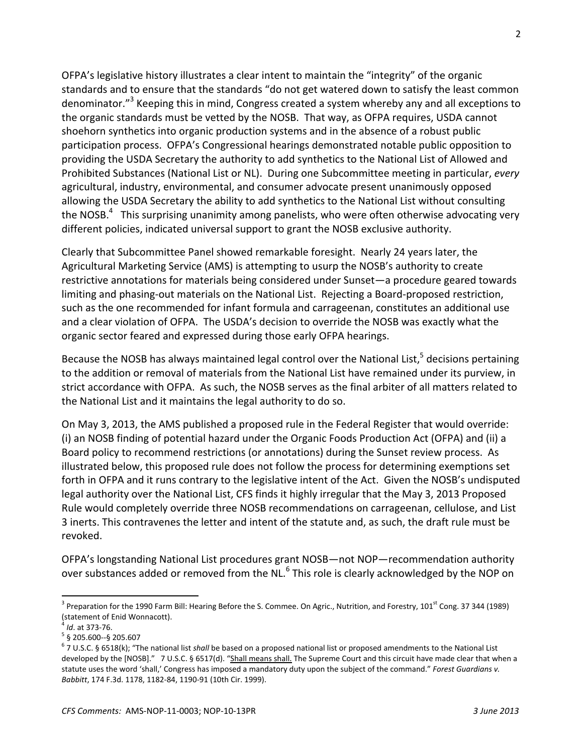OFPA's legislative history illustrates a clear intent to maintain the "integrity" of the organic standards and to ensure that the standards "do not get watered down to satisfy the least common denominator."<sup>3</sup> Keeping this in mind, Congress created a system whereby any and all exceptions to the organic standards must be vetted by the NOSB. That way, as OFPA requires, USDA cannot shoehorn synthetics into organic production systems and in the absence of a robust public participation process. OFPA's Congressional hearings demonstrated notable public opposition to providing the USDA Secretary the authority to add synthetics to the National List of Allowed and Prohibited Substances (National List or NL). During one Subcommittee meeting in particular, every agricultural, industry, environmental, and consumer advocate present unanimously opposed allowing the USDA Secretary the ability to add synthetics to the National List without consulting the NOSB.<sup>4</sup> This surprising unanimity among panelists, who were often otherwise advocating very different policies, indicated universal support to grant the NOSB exclusive authority.

Clearly that Subcommittee Panel showed remarkable foresight. Nearly 24 years later, the Agricultural Marketing Service (AMS) is attempting to usurp the NOSB's authority to create restrictive annotations for materials being considered under Sunset—a procedure geared towards limiting and phasing-out materials on the National List. Rejecting a Board-proposed restriction, such as the one recommended for infant formula and carrageenan, constitutes an additional use and a clear violation of OFPA. The USDA's decision to override the NOSB was exactly what the organic sector feared and expressed during those early OFPA hearings.

Because the NOSB has always maintained legal control over the National List,<sup>5</sup> decisions pertaining to the addition or removal of materials from the National List have remained under its purview, in strict accordance with OFPA. As such, the NOSB serves as the final arbiter of all matters related to the National List and it maintains the legal authority to do so.

On May 3, 2013, the AMS published a proposed rule in the Federal Register that would override: (i) an NOSB finding of potential hazard under the Organic Foods Production Act (OFPA) and (ii) a Board policy to recommend restrictions (or annotations) during the Sunset review process. As illustrated below, this proposed rule does not follow the process for determining exemptions set forth in OFPA and it runs contrary to the legislative intent of the Act. Given the NOSB's undisputed legal authority over the National List, CFS finds it highly irregular that the May 3, 2013 Proposed Rule would completely override three NOSB recommendations on carrageenan, cellulose, and List 3 inerts. This contravenes the letter and intent of the statute and, as such, the draft rule must be revoked.

OFPA's longstanding National List procedures grant NOSB-not NOP-recommendation authority over substances added or removed from the NL.<sup>6</sup> This role is clearly acknowledged by the NOP on

<sup>&</sup>lt;sup>3</sup> Preparation for the 1990 Farm Bill: Hearing Before the S. Commee. On Agric., Nutrition, and Forestry, 101<sup>st</sup> Cong. 37 344 (1989) (statement of Enid Wonnacott).

 $^4$  *Id.* at 373-76.

 $5$  § 205.600--§ 205.607

 $^6$  7 U.S.C. § 6518(k); "The national list shall be based on a proposed national list or proposed amendments to the National List developed by the [NOSB]." 7 U.S.C. § 6517(d). "Shall means shall. The Supreme Court and this circuit have made clear that when a statute uses the word 'shall,' Congress has imposed a mandatory duty upon the subject of the command." Forest Guardians v. Babbitt, 174 F.3d. 1178, 1182-84, 1190-91 (10th Cir. 1999).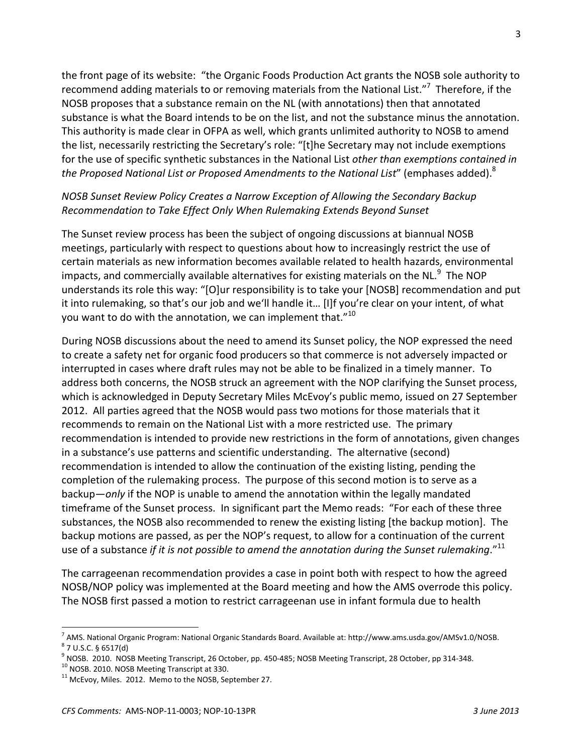the front page of its website: "the Organic Foods Production Act grants the NOSB sole authority to recommend adding materials to or removing materials from the National List."<sup>7</sup> Therefore, if the NOSB proposes that a substance remain on the NL (with annotations) then that annotated substance is what the Board intends to be on the list, and not the substance minus the annotation. This authority is made clear in OFPA as well, which grants unlimited authority to NOSB to amend the list, necessarily restricting the Secretary's role: "[t]he Secretary may not include exemptions for the use of specific synthetic substances in the National List other than exemptions contained in the Proposed National List or Proposed Amendments to the National List" (emphases added).<sup>8</sup>

### NOSB Sunset Review Policy Creates a Narrow Exception of Allowing the Secondary Backup Recommendation to Take Effect Only When Rulemaking Extends Beyond Sunset

The Sunset review process has been the subject of ongoing discussions at biannual NOSB meetings, particularly with respect to questions about how to increasingly restrict the use of certain materials as new information becomes available related to health hazards, environmental impacts, and commercially available alternatives for existing materials on the NL.<sup>9</sup> The NOP understands its role this way: "[O]ur responsibility is to take your [NOSB] recommendation and put it into rulemaking, so that's our job and we'll handle it... [I]f you're clear on your intent, of what you want to do with the annotation, we can implement that."10

During NOSB discussions about the need to amend its Sunset policy, the NOP expressed the need to create a safety net for organic food producers so that commerce is not adversely impacted or interrupted in cases where draft rules may not be able to be finalized in a timely manner. To address both concerns, the NOSB struck an agreement with the NOP clarifying the Sunset process, which is acknowledged in Deputy Secretary Miles McEvoy's public memo, issued on 27 September 2012. All parties agreed that the NOSB would pass two motions for those materials that it recommends to remain on the National List with a more restricted use. The primary recommendation is intended to provide new restrictions in the form of annotations, given changes in a substance's use patterns and scientific understanding. The alternative (second) recommendation is intended to allow the continuation of the existing listing, pending the completion of the rulemaking process. The purpose of this second motion is to serve as a backup—only if the NOP is unable to amend the annotation within the legally mandated timeframe of the Sunset process. In significant part the Memo reads: "For each of these three substances, the NOSB also recommended to renew the existing listing [the backup motion]. The backup motions are passed, as per the NOP's request, to allow for a continuation of the current use of a substance if it is not possible to amend the annotation during the Sunset rulemaking."<sup>11</sup>

The carrageenan recommendation provides a case in point both with respect to how the agreed NOSB/NOP policy was implemented at the Board meeting and how the AMS overrode this policy. The NOSB first passed a motion to restrict carrageenan use in infant formula due to health

<sup>&</sup>lt;sup>7</sup> AMS. National Organic Program: National Organic Standards Board. Available at: http://www.ams.usda.gov/AMSv1.0/NOSB.  $8$  7 U.S.C. § 6517(d)

 $^9$  NOSB. 2010. NOSB Meeting Transcript, 26 October, pp. 450-485; NOSB Meeting Transcript, 28 October, pp 314-348.

 $^{10}$  NOSB. 2010. NOSB Meeting Transcript at 330.

<sup>&</sup>lt;sup>11</sup> McEvoy, Miles. 2012. Memo to the NOSB, September 27.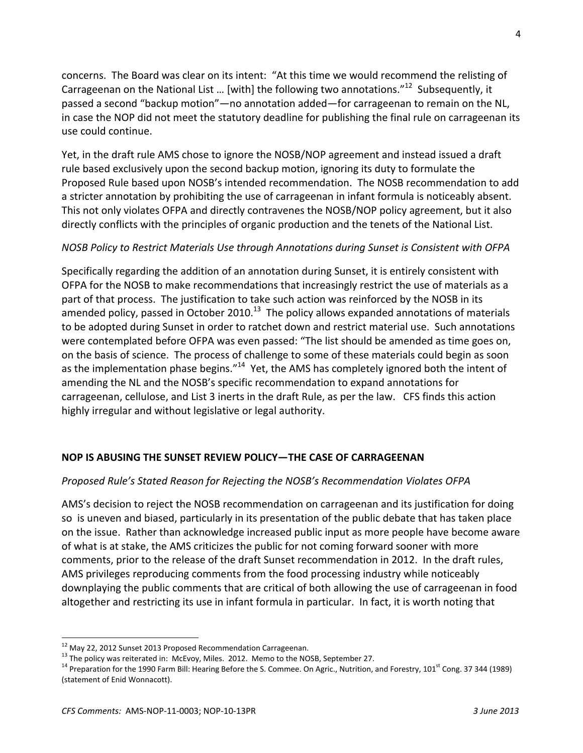concerns. The Board was clear on its intent: "At this time we would recommend the relisting of Carrageenan on the National List ... [with] the following two annotations."<sup>12</sup> Subsequently, it passed a second "backup motion" - no annotation added - for carrageenan to remain on the NL, in case the NOP did not meet the statutory deadline for publishing the final rule on carrageenan its use could continue.

Yet, in the draft rule AMS chose to ignore the NOSB/NOP agreement and instead issued a draft rule based exclusively upon the second backup motion, ignoring its duty to formulate the Proposed Rule based upon NOSB's intended recommendation. The NOSB recommendation to add a stricter annotation by prohibiting the use of carrageenan in infant formula is noticeably absent. This not only violates OFPA and directly contravenes the NOSB/NOP policy agreement, but it also directly conflicts with the principles of organic production and the tenets of the National List.

# NOSB Policy to Restrict Materials Use through Annotations during Sunset is Consistent with OFPA

Specifically regarding the addition of an annotation during Sunset, it is entirely consistent with OFPA for the NOSB to make recommendations that increasingly restrict the use of materials as a part of that process. The justification to take such action was reinforced by the NOSB in its amended policy, passed in October 2010.<sup>13</sup> The policy allows expanded annotations of materials to be adopted during Sunset in order to ratchet down and restrict material use. Such annotations were contemplated before OFPA was even passed: "The list should be amended as time goes on, on the basis of science. The process of challenge to some of these materials could begin as soon as the implementation phase begins."<sup>14</sup> Yet, the AMS has completely ignored both the intent of amending the NL and the NOSB's specific recommendation to expand annotations for carrageenan, cellulose, and List 3 inerts in the draft Rule, as per the law. CFS finds this action highly irregular and without legislative or legal authority.

# NOP IS ABUSING THE SUNSET REVIEW POLICY-THE CASE OF CARRAGEENAN

### Proposed Rule's Stated Reason for Rejecting the NOSB's Recommendation Violates OFPA

AMS's decision to reject the NOSB recommendation on carrageenan and its justification for doing so is uneven and biased, particularly in its presentation of the public debate that has taken place on the issue. Rather than acknowledge increased public input as more people have become aware of what is at stake, the AMS criticizes the public for not coming forward sooner with more comments, prior to the release of the draft Sunset recommendation in 2012. In the draft rules, AMS privileges reproducing comments from the food processing industry while noticeably downplaying the public comments that are critical of both allowing the use of carrageenan in food altogether and restricting its use in infant formula in particular. In fact, it is worth noting that

<sup>&</sup>lt;sup>12</sup> May 22, 2012 Sunset 2013 Proposed Recommendation Carrageenan.

<sup>&</sup>lt;sup>13</sup> The policy was reiterated in: McEvoy, Miles. 2012. Memo to the NOSB, September 27.

<sup>&</sup>lt;sup>14</sup> Preparation for the 1990 Farm Bill: Hearing Before the S. Commee. On Agric., Nutrition, and Forestry, 101<sup>st</sup> Cong. 37 344 (1989) (statement of Enid Wonnacott).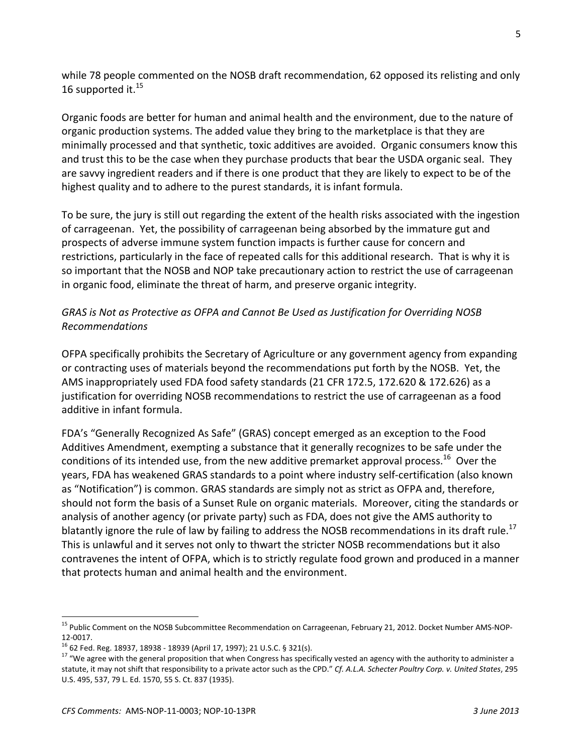while 78 people commented on the NOSB draft recommendation, 62 opposed its relisting and only 16 supported it.<sup>15</sup>

Organic foods are better for human and animal health and the environment, due to the nature of organic production systems. The added value they bring to the marketplace is that they are minimally processed and that synthetic, toxic additives are avoided. Organic consumers know this and trust this to be the case when they purchase products that bear the USDA organic seal. They are savvy ingredient readers and if there is one product that they are likely to expect to be of the highest quality and to adhere to the purest standards, it is infant formula.

To be sure, the jury is still out regarding the extent of the health risks associated with the ingestion of carrageenan. Yet, the possibility of carrageenan being absorbed by the immature gut and prospects of adverse immune system function impacts is further cause for concern and restrictions, particularly in the face of repeated calls for this additional research. That is why it is so important that the NOSB and NOP take precautionary action to restrict the use of carrageenan in organic food, eliminate the threat of harm, and preserve organic integrity.

## GRAS is Not as Protective as OFPA and Cannot Be Used as Justification for Overriding NOSB **Recommendations**

OFPA specifically prohibits the Secretary of Agriculture or any government agency from expanding or contracting uses of materials beyond the recommendations put forth by the NOSB. Yet, the AMS inappropriately used FDA food safety standards (21 CFR 172.5, 172.620 & 172.626) as a justification for overriding NOSB recommendations to restrict the use of carrageenan as a food additive in infant formula.

FDA's "Generally Recognized As Safe" (GRAS) concept emerged as an exception to the Food Additives Amendment, exempting a substance that it generally recognizes to be safe under the conditions of its intended use, from the new additive premarket approval process.<sup>16</sup> Over the years, FDA has weakened GRAS standards to a point where industry self-certification (also known as "Notification") is common. GRAS standards are simply not as strict as OFPA and, therefore, should not form the basis of a Sunset Rule on organic materials. Moreover, citing the standards or analysis of another agency (or private party) such as FDA, does not give the AMS authority to blatantly ignore the rule of law by failing to address the NOSB recommendations in its draft rule.<sup>17</sup> This is unlawful and it serves not only to thwart the stricter NOSB recommendations but it also contravenes the intent of OFPA, which is to strictly regulate food grown and produced in a manner that protects human and animal health and the environment.

<sup>&</sup>lt;sup>15</sup> Public Comment on the NOSB Subcommittee Recommendation on Carrageenan, February 21, 2012. Docket Number AMS-NOP-12-0017.

<sup>&</sup>lt;sup>16</sup> 62 Fed. Reg. 18937, 18938 - 18939 (April 17, 1997); 21 U.S.C. § 321(s).

<sup>&</sup>lt;sup>17</sup> "We agree with the general proposition that when Congress has specifically vested an agency with the authority to administer a statute, it may not shift that responsibility to a private actor such as the CPD." Cf. A.L.A. Schecter Poultry Corp. v. United States, 295 U.S. 495, 537, 79 L. Ed. 1570, 55 S. Ct. 837 (1935).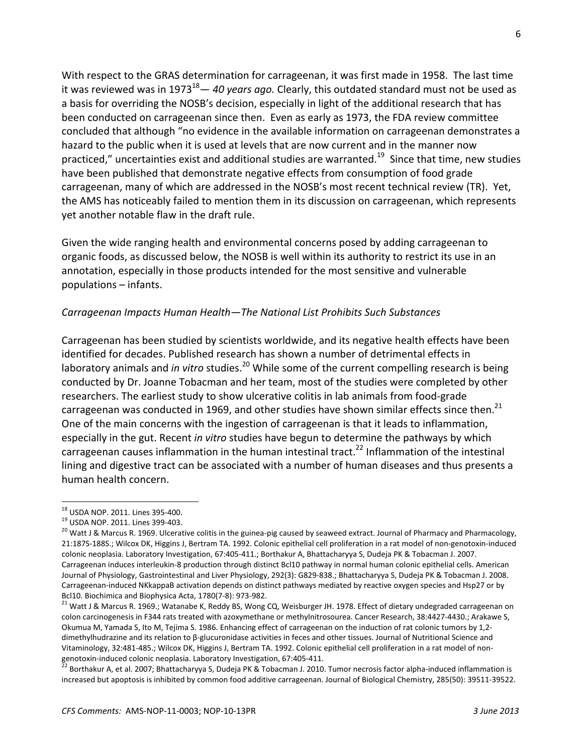With respect to the GRAS determination for carrageenan, it was first made in 1958. The last time it was reviewed was in 1973<sup>18</sup> - 40 years ago. Clearly, this outdated standard must not be used as a basis for overriding the NOSB's decision, especially in light of the additional research that has been conducted on carrageenan since then. Even as early as 1973, the FDA review committee concluded that although "no evidence in the available information on carrageenan demonstrates a hazard to the public when it is used at levels that are now current and in the manner now practiced," uncertainties exist and additional studies are warranted.<sup>19</sup> Since that time, new studies have been published that demonstrate negative effects from consumption of food grade carrageenan, many of which are addressed in the NOSB's most recent technical review (TR). Yet, the AMS has noticeably failed to mention them in its discussion on carrageenan, which represents yet another notable flaw in the draft rule.

Given the wide ranging health and environmental concerns posed by adding carrageenan to organic foods, as discussed below, the NOSB is well within its authority to restrict its use in an annotation, especially in those products intended for the most sensitive and vulnerable populations - infants.

### Carrageenan Impacts Human Health-The National List Prohibits Such Substances

Carrageenan has been studied by scientists worldwide, and its negative health effects have been identified for decades. Published research has shown a number of detrimental effects in laboratory animals and *in vitro* studies.<sup>20</sup> While some of the current compelling research is being conducted by Dr. Joanne Tobacman and her team, most of the studies were completed by other researchers. The earliest study to show ulcerative colitis in lab animals from food-grade carrageenan was conducted in 1969, and other studies have shown similar effects since then.<sup>21</sup> One of the main concerns with the ingestion of carrageenan is that it leads to inflammation, especially in the gut. Recent in vitro studies have begun to determine the pathways by which carrageenan causes inflammation in the human intestinal tract.<sup>22</sup> Inflammation of the intestinal lining and digestive tract can be associated with a number of human diseases and thus presents a human health concern.

<sup>&</sup>lt;sup>18</sup> USDA NOP. 2011. Lines 395-400.

<sup>&</sup>lt;sup>19</sup> USDA NOP. 2011. Lines 399-403.

<sup>&</sup>lt;sup>20</sup> Watt J & Marcus R. 1969. Ulcerative colitis in the guinea-pig caused by seaweed extract. Journal of Pharmacy and Pharmacology, 21:1875-188S.; Wilcox DK, Higgins J, Bertram TA. 1992. Colonic epithelial cell proliferation in a rat model of non-genotoxin-induced colonic neoplasia. Laboratory Investigation, 67:405-411.; Borthakur A, Bhattacharyya S, Dudeja PK & Tobacman J. 2007. Carrageenan induces interleukin-8 production through distinct Bcl10 pathway in normal human colonic epithelial cells. American Journal of Physiology, Gastrointestinal and Liver Physiology, 292(3): G829-838.; Bhattacharyya S, Dudeja PK & Tobacman J. 2008. Carrageenan-induced NKkappaB activation depends on distinct pathways mediated by reactive oxygen species and Hsp27 or by Bcl10. Biochimica and Biophysica Acta, 1780(7-8): 973-982.

<sup>&</sup>lt;sup>21</sup> Watt J & Marcus R. 1969.; Watanabe K, Reddy BS, Wong CQ, Weisburger JH. 1978. Effect of dietary undegraded carrageenan on colon carcinogenesis in F344 rats treated with azoxymethane or methylnitrosourea. Cancer Research, 38:4427-4430.; Arakawe S, Okumua M, Yamada S, Ito M, Tejima S. 1986. Enhancing effect of carrageenan on the induction of rat colonic tumors by 1,2dimethylhudrazine and its relation to β-glucuronidase activities in feces and other tissues. Journal of Nutritional Science and Vitaminology, 32:481-485.; Wilcox DK, Higgins J, Bertram TA. 1992. Colonic epithelial cell proliferation in a rat model of nongenotoxin-induced colonic neoplasia. Laboratory Investigation, 67:405-411.

<sup>.&</sup>lt;br>Borthakur A, et al. 2007; Bhattacharyya S, Dudeja PK & Tobacman J. 2010. Tumor necrosis factor alpha-induced inflammation is increased but apoptosis is inhibited by common food additive carrageenan. Journal of Biological Chemistry, 285(50): 39511-39522.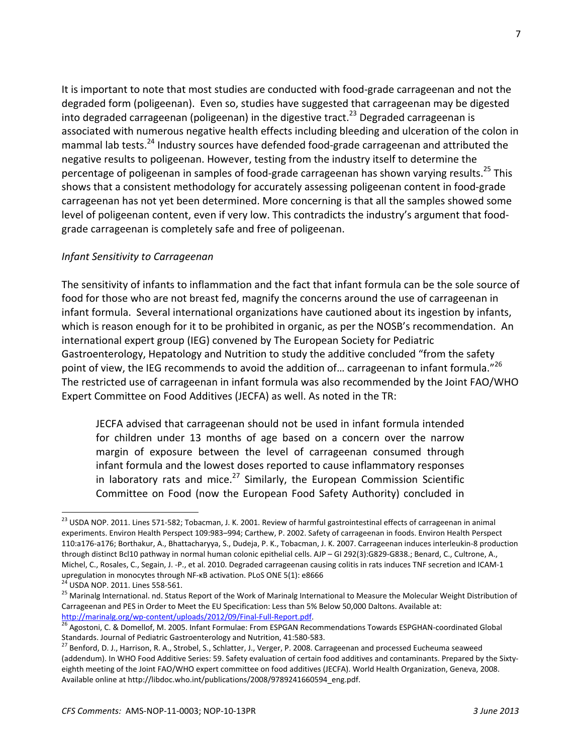It is important to note that most studies are conducted with food-grade carrageenan and not the degraded form (poligeenan). Even so, studies have suggested that carrageenan may be digested into degraded carrageenan (poligeenan) in the digestive tract.<sup>23</sup> Degraded carrageenan is associated with numerous negative health effects including bleeding and ulceration of the colon in mammal lab tests.<sup>24</sup> Industry sources have defended food-grade carrageenan and attributed the negative results to poligeenan. However, testing from the industry itself to determine the percentage of poligeenan in samples of food-grade carrageenan has shown varying results.<sup>25</sup> This shows that a consistent methodology for accurately assessing poligeenan content in food-grade carrageenan has not yet been determined. More concerning is that all the samples showed some level of poligeenan content, even if very low. This contradicts the industry's argument that foodgrade carrageenan is completely safe and free of poligeenan.

### Infant Sensitivity to Carrageenan

The sensitivity of infants to inflammation and the fact that infant formula can be the sole source of food for those who are not breast fed, magnify the concerns around the use of carrageenan in infant formula. Several international organizations have cautioned about its ingestion by infants, which is reason enough for it to be prohibited in organic, as per the NOSB's recommendation. An international expert group (IEG) convened by The European Society for Pediatric Gastroenterology, Hepatology and Nutrition to study the additive concluded "from the safety point of view, the IEG recommends to avoid the addition of... carrageenan to infant formula."<sup>26</sup> The restricted use of carrageenan in infant formula was also recommended by the Joint FAO/WHO Expert Committee on Food Additives (JECFA) as well. As noted in the TR:

JECFA advised that carrageenan should not be used in infant formula intended for children under 13 months of age based on a concern over the narrow margin of exposure between the level of carrageenan consumed through infant formula and the lowest doses reported to cause inflammatory responses in laboratory rats and mice. $^{27}$  Similarly, the European Commission Scientific Committee on Food (now the European Food Safety Authority) concluded in

<sup>&</sup>lt;sup>23</sup> USDA NOP. 2011. Lines 571-582; Tobacman, J. K. 2001. Review of harmful gastrointestinal effects of carrageenan in animal experiments. Environ Health Perspect 109:983-994; Carthew, P. 2002. Safety of carrageenan in foods. Environ Health Perspect 110:a176-a176; Borthakur, A., Bhattacharyya, S., Dudeja, P. K., Tobacman, J. K. 2007. Carrageenan induces interleukin-8 production through distinct Bcl10 pathway in normal human colonic epithelial cells. AJP - GI 292(3):G829-G838.; Benard, C., Cultrone, A., Michel, C., Rosales, C., Segain, J. -P., et al. 2010. Degraded carrageenan causing colitis in rats induces TNF secretion and ICAM-1 upregulation in monocytes through NF-KB activation. PLoS ONE 5(1): e8666

<sup>&</sup>lt;sup>24</sup> USDA NOP. 2011. Lines 558-561.

<sup>&</sup>lt;sup>25</sup> Marinalg International. nd. Status Report of the Work of Marinalg International to Measure the Molecular Weight Distribution of Carrageenan and PES in Order to Meet the EU Specification: Less than 5% Below 50,000 Daltons. Available at: http://marinalg.org/wp-content/uploads/2012/09/Final-Full-Report.pdf.

<sup>&</sup>lt;sup>26</sup> Agostoni, C. & Domellof, M. 2005. Infant Formulae: From ESPGAN Recommendations Towards ESPGHAN-coordinated Global Standards. Journal of Pediatric Gastroenterology and Nutrition, 41:580-583.

<sup>27</sup> Benford, D. J., Harrison, R. A., Strobel, S., Schlatter, J., Verger, P. 2008. Carrageenan and processed Eucheuma seaweed (addendum). In WHO Food Additive Series: 59. Safety evaluation of certain food additives and contaminants. Prepared by the Sixtyeighth meeting of the Joint FAO/WHO expert committee on food additives (JECFA). World Health Organization, Geneva, 2008. Available online at http://libdoc.who.int/publications/2008/9789241660594\_eng.pdf.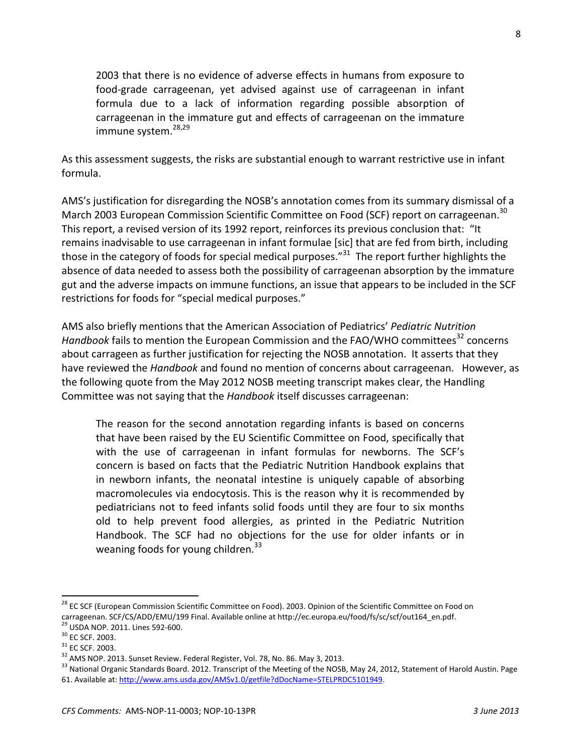2003 that there is no evidence of adverse effects in humans from exposure to food-grade carrageenan, yet advised against use of carrageenan in infant formula due to a lack of information regarding possible absorption of carrageenan in the immature gut and effects of carrageenan on the immature immune system.<sup>28,29</sup>

As this assessment suggests, the risks are substantial enough to warrant restrictive use in infant formula.

AMS's justification for disregarding the NOSB's annotation comes from its summary dismissal of a March 2003 European Commission Scientific Committee on Food (SCF) report on carrageenan.<sup>30</sup> This report, a revised version of its 1992 report, reinforces its previous conclusion that: "It remains inadvisable to use carrageenan in infant formulae [sic] that are fed from birth, including those in the category of foods for special medical purposes."<sup>31</sup> The report further highlights the absence of data needed to assess both the possibility of carrageenan absorption by the immature gut and the adverse impacts on immune functions, an issue that appears to be included in the SCF restrictions for foods for "special medical purposes."

AMS also briefly mentions that the American Association of Pediatrics' Pediatric Nutrition Handbook fails to mention the European Commission and the FAO/WHO committees<sup>32</sup> concerns about carrageen as further justification for rejecting the NOSB annotation. It asserts that they have reviewed the Handbook and found no mention of concerns about carrageenan. However, as the following quote from the May 2012 NOSB meeting transcript makes clear, the Handling Committee was not saying that the Handbook itself discusses carrageenan:

The reason for the second annotation regarding infants is based on concerns that have been raised by the EU Scientific Committee on Food, specifically that with the use of carrageenan in infant formulas for newborns. The SCF's concern is based on facts that the Pediatric Nutrition Handbook explains that in newborn infants, the neonatal intestine is uniquely capable of absorbing macromolecules via endocytosis. This is the reason why it is recommended by pediatricians not to feed infants solid foods until they are four to six months old to help prevent food allergies, as printed in the Pediatric Nutrition Handbook. The SCF had no objections for the use for older infants or in weaning foods for young children.<sup>33</sup>

<sup>&</sup>lt;sup>28</sup> EC SCF (European Commission Scientific Committee on Food). 2003. Opinion of the Scientific Committee on Food on carrageenan. SCF/CS/ADD/EMU/199 Final. Available online at http://ec.europa.eu/food/fs/sc/scf/out164\_en.pdf. <sup>29</sup> USDA NOP. 2011. Lines 592-600.

 $30$  EC SCF. 2003.

 $31$  EC SCF. 2003.

 $32$  AMS NOP. 2013. Sunset Review. Federal Register, Vol. 78, No. 86. May 3, 2013.

<sup>&</sup>lt;sup>33</sup> National Organic Standards Board. 2012. Transcript of the Meeting of the NOSB, May 24, 2012, Statement of Harold Austin. Page 61. Available at: http://www.ams.usda.gov/AMSv1.0/getfile?dDocName=STELPRDC5101949.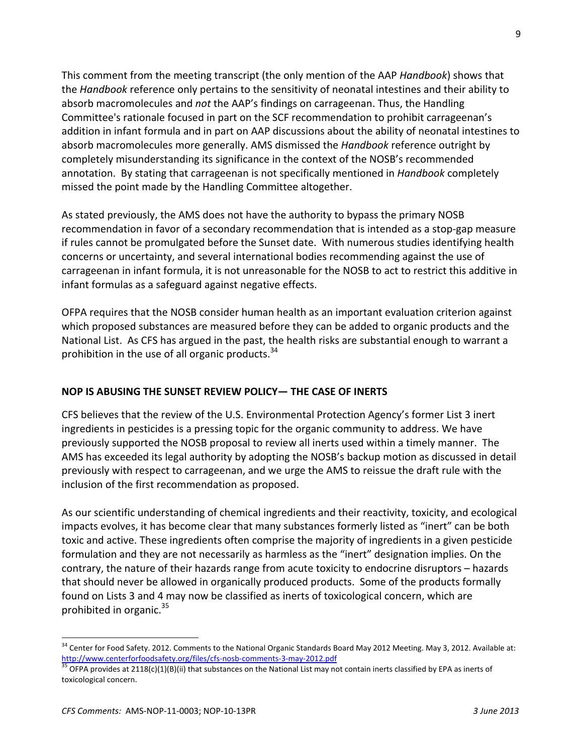This comment from the meeting transcript (the only mention of the AAP Handbook) shows that the Handbook reference only pertains to the sensitivity of neonatal intestines and their ability to absorb macromolecules and not the AAP's findings on carrageenan. Thus, the Handling Committee's rationale focused in part on the SCF recommendation to prohibit carrageenan's addition in infant formula and in part on AAP discussions about the ability of neonatal intestines to absorb macromolecules more generally. AMS dismissed the Handbook reference outright by completely misunderstanding its significance in the context of the NOSB's recommended annotation. By stating that carrageenan is not specifically mentioned in *Handbook* completely missed the point made by the Handling Committee altogether.

As stated previously, the AMS does not have the authority to bypass the primary NOSB recommendation in favor of a secondary recommendation that is intended as a stop-gap measure if rules cannot be promulgated before the Sunset date. With numerous studies identifying health concerns or uncertainty, and several international bodies recommending against the use of carrageenan in infant formula, it is not unreasonable for the NOSB to act to restrict this additive in infant formulas as a safeguard against negative effects.

OFPA requires that the NOSB consider human health as an important evaluation criterion against which proposed substances are measured before they can be added to organic products and the National List. As CFS has argued in the past, the health risks are substantial enough to warrant a prohibition in the use of all organic products.<sup>34</sup>

### NOP IS ABUSING THE SUNSET REVIEW POLICY— THE CASE OF INERTS

CFS believes that the review of the U.S. Environmental Protection Agency's former List 3 inert ingredients in pesticides is a pressing topic for the organic community to address. We have previously supported the NOSB proposal to review all inerts used within a timely manner. The AMS has exceeded its legal authority by adopting the NOSB's backup motion as discussed in detail previously with respect to carrageenan, and we urge the AMS to reissue the draft rule with the inclusion of the first recommendation as proposed.

As our scientific understanding of chemical ingredients and their reactivity, toxicity, and ecological impacts evolves, it has become clear that many substances formerly listed as "inert" can be both toxic and active. These ingredients often comprise the majority of ingredients in a given pesticide formulation and they are not necessarily as harmless as the "inert" designation implies. On the contrary, the nature of their hazards range from acute toxicity to endocrine disruptors – hazards that should never be allowed in organically produced products. Some of the products formally found on Lists 3 and 4 may now be classified as inerts of toxicological concern, which are prohibited in organic.<sup>35</sup>

<sup>&</sup>lt;sup>34</sup> Center for Food Safety. 2012. Comments to the National Organic Standards Board May 2012 Meeting. May 3, 2012. Available at: http://www.centerforfoodsafety.org/files/cfs-nosb-comments-3-may-2012.pdf<br><sup>35</sup> OFPA provides at 2118(c)(1)(B)(ii) that substances on the National List may not contain inerts classified by EPA as inerts of

toxicological concern.